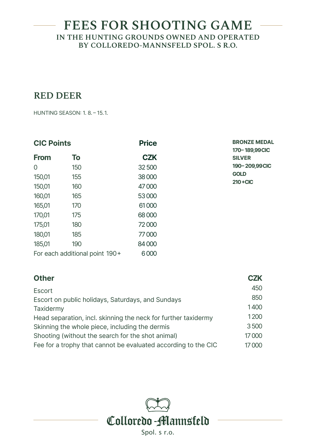## **RED DEER**

HUNTING SEASON: 1. 8. – 15.1.

| <b>CIC Points</b>              |     | <b>Price</b> | <b>BRONZE MEDAL</b><br>170-189,99CIC |
|--------------------------------|-----|--------------|--------------------------------------|
| <b>From</b>                    | To  | <b>CZK</b>   | <b>SILVER</b>                        |
| 0                              | 150 | 32500        | 190-209,99CIC                        |
| 150,01                         | 155 | 38000        | <b>GOLD</b>                          |
| 150,01                         | 160 | 47000        | $210 + CIC$                          |
| 160,01                         | 165 | 53000        |                                      |
| 165,01                         | 170 | 61000        |                                      |
| 170,01                         | 175 | 68000        |                                      |
| 175,01                         | 180 | 72000        |                                      |
| 180,01                         | 185 | 77000        |                                      |
| 185,01                         | 190 | 84000        |                                      |
| For each additional point 190+ |     | 6000         |                                      |

| <b>Other</b>                                                   | <b>CZK</b> |
|----------------------------------------------------------------|------------|
| Escort                                                         | 450        |
| Escort on public holidays, Saturdays, and Sundays              | 850        |
| Taxidermy                                                      | 1400       |
| Head separation, incl. skinning the neck for further taxidermy | 1200       |
| Skinning the whole piece, including the dermis                 | 3500       |
| Shooting (without the search for the shot animal)              | 17000      |
| Fee for a trophy that cannot be evaluated according to the CIC | 17000      |

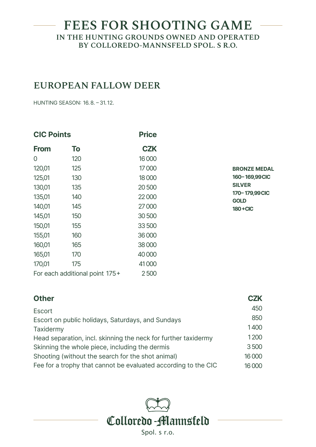## **EUROPEAN FALLOW DEER**

HUNTING SEASON: 16.8. – 31. 12.

| <b>CIC Points</b> |                                | <b>Price</b> |
|-------------------|--------------------------------|--------------|
| <b>From</b>       | To                             | <b>CZK</b>   |
| 0                 | 120                            | 16 000       |
| 120,01            | 125                            | 17000        |
| 125,01            | 130                            | 18000        |
| 130,01            | 135                            | 20500        |
| 135,01            | 140                            | 22000        |
| 140,01            | 145                            | 27000        |
| 145,01            | 150                            | 30500        |
| 150,01            | 155                            | 33500        |
| 155,01            | 160                            | 36000        |
| 160,01            | 165                            | 38000        |
| 165,01            | 170                            | 40 000       |
| 170,01            | 175                            | 41000        |
|                   | For each additional point 175+ | 2500         |

**BRONZE MEDAL 160– 169,99CIC SILVER 170– 179,99CIC GOLD 180+CIC**

| <b>Other</b>                                                   | <b>CZK</b> |
|----------------------------------------------------------------|------------|
| Escort                                                         | 450        |
| Escort on public holidays, Saturdays, and Sundays              | 850        |
| Taxidermy                                                      | 1400       |
| Head separation, incl. skinning the neck for further taxidermy | 1200       |
| Skinning the whole piece, including the dermis                 | 3500       |
| Shooting (without the search for the shot animal)              | 16 000     |
| Fee for a trophy that cannot be evaluated according to the CIC | 16000      |

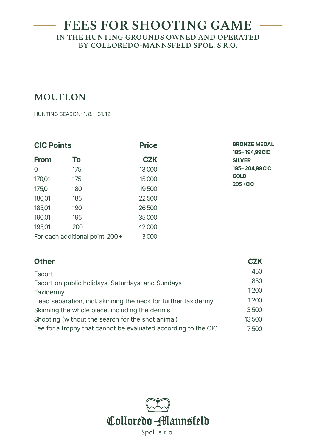# **MOUFLON**

HUNTING SEASON: 1. 8. – 31.12.

| <b>CIC Points</b>              |     | <b>Price</b> | <b>BRONZE MEDAL</b><br>185-194,99CIC |  |
|--------------------------------|-----|--------------|--------------------------------------|--|
| <b>From</b>                    | To  | <b>CZK</b>   | <b>SILVER</b>                        |  |
| 0                              | 175 | 13 000       | 195-204,99CIC                        |  |
| 170,01                         | 175 | 15 000       | <b>GOLD</b><br>$205 + CIC$           |  |
| 175,01                         | 180 | 19500        |                                      |  |
| 180,01                         | 185 | 22500        |                                      |  |
| 185,01                         | 190 | 26 500       |                                      |  |
| 190,01                         | 195 | 35 000       |                                      |  |
| 195,01                         | 200 | 42000        |                                      |  |
| For each additional point 200+ |     | 3000         |                                      |  |

| <b>Other</b>                                                   | <b>CZK</b> |
|----------------------------------------------------------------|------------|
| Escort                                                         | 450        |
| Escort on public holidays, Saturdays, and Sundays              | 850        |
| Taxidermy                                                      | 1200       |
| Head separation, incl. skinning the neck for further taxidermy | 1200       |
| Skinning the whole piece, including the dermis                 | 3500       |
| Shooting (without the search for the shot animal)              | 13500      |
| Fee for a trophy that cannot be evaluated according to the CIC | 7500       |

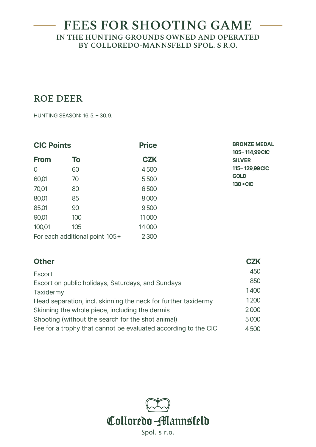# **ROE DEER**

HUNTING SEASON: 16.5. – 30.9.

| <b>CIC Points</b>              |     | <b>Price</b> | <b>BRONZE MEDAL</b><br>105-114,99CIC |
|--------------------------------|-----|--------------|--------------------------------------|
| <b>From</b>                    | To  | <b>CZK</b>   | <b>SILVER</b>                        |
| $\overline{0}$                 | 60  | 4500         | 115-129,99CIC                        |
| 60,01                          | 70  | 5500         | <b>GOLD</b>                          |
| 70,01                          | 80  | 6500         | $130 + CIC$                          |
| 80,01                          | 85  | 8000         |                                      |
| 85,01                          | 90  | 9500         |                                      |
| 90,01                          | 100 | 11000        |                                      |
| 100,01                         | 105 | 14 000       |                                      |
| For each additional point 105+ |     | 2 3 0 0      |                                      |

| <b>Other</b>                                                   | <b>CZK</b> |
|----------------------------------------------------------------|------------|
| Escort                                                         | 450        |
| Escort on public holidays, Saturdays, and Sundays              | 850        |
| Taxidermy                                                      | 1400       |
| Head separation, incl. skinning the neck for further taxidermy | 1200       |
| Skinning the whole piece, including the dermis                 | 2000       |
| Shooting (without the search for the shot animal)              | 5000       |
| Fee for a trophy that cannot be evaluated according to the CIC | 4500       |

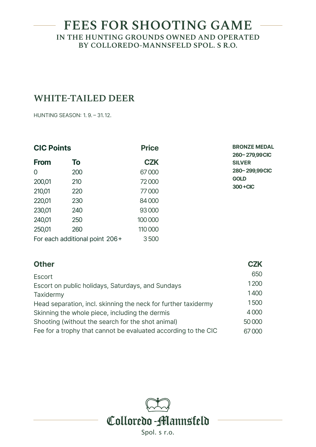## **WHITE-TAILED DEER**

HUNTING SEASON: 1. 9. – 31.12.

| <b>CIC Points</b>              |     | <b>Price</b> | <b>BRONZE MEDAL</b><br>260-279,99CIC |
|--------------------------------|-----|--------------|--------------------------------------|
| <b>From</b>                    | To  | <b>CZK</b>   | <b>SILVER</b>                        |
| $\Omega$                       | 200 | 67000        | 280-299,99CIC                        |
| 200,01                         | 210 | 72000        | <b>GOLD</b><br>300+CIC               |
| 210,01                         | 220 | 77000        |                                      |
| 220,01                         | 230 | 84 000       |                                      |
| 230,01                         | 240 | 93 000       |                                      |
| 240,01                         | 250 | 100 000      |                                      |
| 250,01                         | 260 | 110 000      |                                      |
| For each additional point 206+ |     | 3500         |                                      |

| <b>Other</b>                                                   | <b>CZK</b> |
|----------------------------------------------------------------|------------|
| Escort                                                         | 650        |
| Escort on public holidays, Saturdays, and Sundays              | 1200       |
| Taxidermy                                                      | 1400       |
| Head separation, incl. skinning the neck for further taxidermy | 1500       |
| Skinning the whole piece, including the dermis                 | 4000       |
| Shooting (without the search for the shot animal)              | 50 000     |
| Fee for a trophy that cannot be evaluated according to the CIC | 67000      |
|                                                                |            |